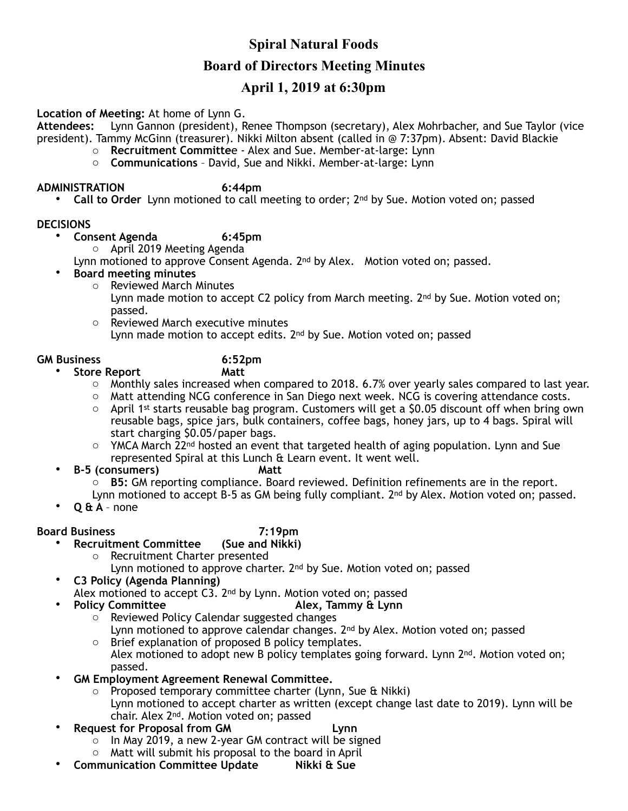# **Spiral Natural Foods Board of Directors Meeting Minutes**

# **April 1, 2019 at 6:30pm**

### **Location of Meeting:** At home of Lynn G.

**Attendees:** Lynn Gannon (president), Renee Thompson (secretary), Alex Mohrbacher, and Sue Taylor (vice president). Tammy McGinn (treasurer). Nikki Milton absent (called in @ 7:37pm). Absent: David Blackie

- o **Recruitment Committe**e Alex and Sue. Member-at-large: Lynn
- o **Communications** David, Sue and Nikki. Member-at-large: Lynn

### **ADMINISTRATION 6:44pm**

• **Call to Order** Lynn motioned to call meeting to order; 2nd by Sue. Motion voted on; passed

### **DECISIONS**

- **Consent Agenda 6:45pm** 
	- o April 2019 Meeting Agenda

Lynn motioned to approve Consent Agenda. 2<sup>nd</sup> by Alex. Motion voted on; passed.

- **Board meeting minutes**
	- o Reviewed March Minutes Lynn made motion to accept C2 policy from March meeting. 2<sup>nd</sup> by Sue. Motion voted on; passed.
	- o Reviewed March executive minutes Lynn made motion to accept edits. 2<sup>nd</sup> by Sue. Motion voted on; passed

- **GM Business 6:52pm •** Store Report
	-
	- $\circ$  Monthly sales increased when compared to 2018. 6.7% over yearly sales compared to last year.
	- o Matt attending NCG conference in San Diego next week. NCG is covering attendance costs.
	- $\circ$  April 1st starts reusable bag program. Customers will get a \$0.05 discount off when bring own reusable bags, spice jars, bulk containers, coffee bags, honey jars, up to 4 bags. Spiral will start charging \$0.05/paper bags.
	- $\circ$  YMCA March 22<sup>nd</sup> hosted an event that targeted health of aging population. Lynn and Sue represented Spiral at this Lunch & Learn event. It went well.
	- **B-5 (consumers) Matt** 
		- o **B5:** GM reporting compliance. Board reviewed. Definition refinements are in the report.

Lynn motioned to accept B-5 as GM being fully compliant. 2<sup>nd</sup> by Alex. Motion voted on; passed.

• **Q & A** – none

- **Board Business 7:19pm Recruitment Committee** 
	- o Recruitment Charter presented

Lynn motioned to approve charter. 2<sup>nd</sup> by Sue. Motion voted on; passed

• **C3 Policy (Agenda Planning)** 

Alex motioned to accept C3. 2nd by Lynn. Motion voted on; passed

- **Policy Committee Alex, Tammy & Lynn** 
	- o Reviewed Policy Calendar suggested changes Lynn motioned to approve calendar changes.  $2<sup>nd</sup>$  by Alex. Motion voted on; passed
	- o Brief explanation of proposed B policy templates.
		- Alex motioned to adopt new B policy templates going forward. Lynn  $2<sup>nd</sup>$ . Motion voted on; passed.
- **GM Employment Agreement Renewal Committee.** 
	- o Proposed temporary committee charter (Lynn, Sue & Nikki)
		- Lynn motioned to accept charter as written (except change last date to 2019). Lynn will be chair. Alex 2nd. Motion voted on; passed
- **Request for Proposal from GM Lynn**
	- $\circ$  In May 2019, a new 2-year GM contract will be signed
	- o Matt will submit his proposal to the board in April
- **Communication Committee Update Nikki & Sue**